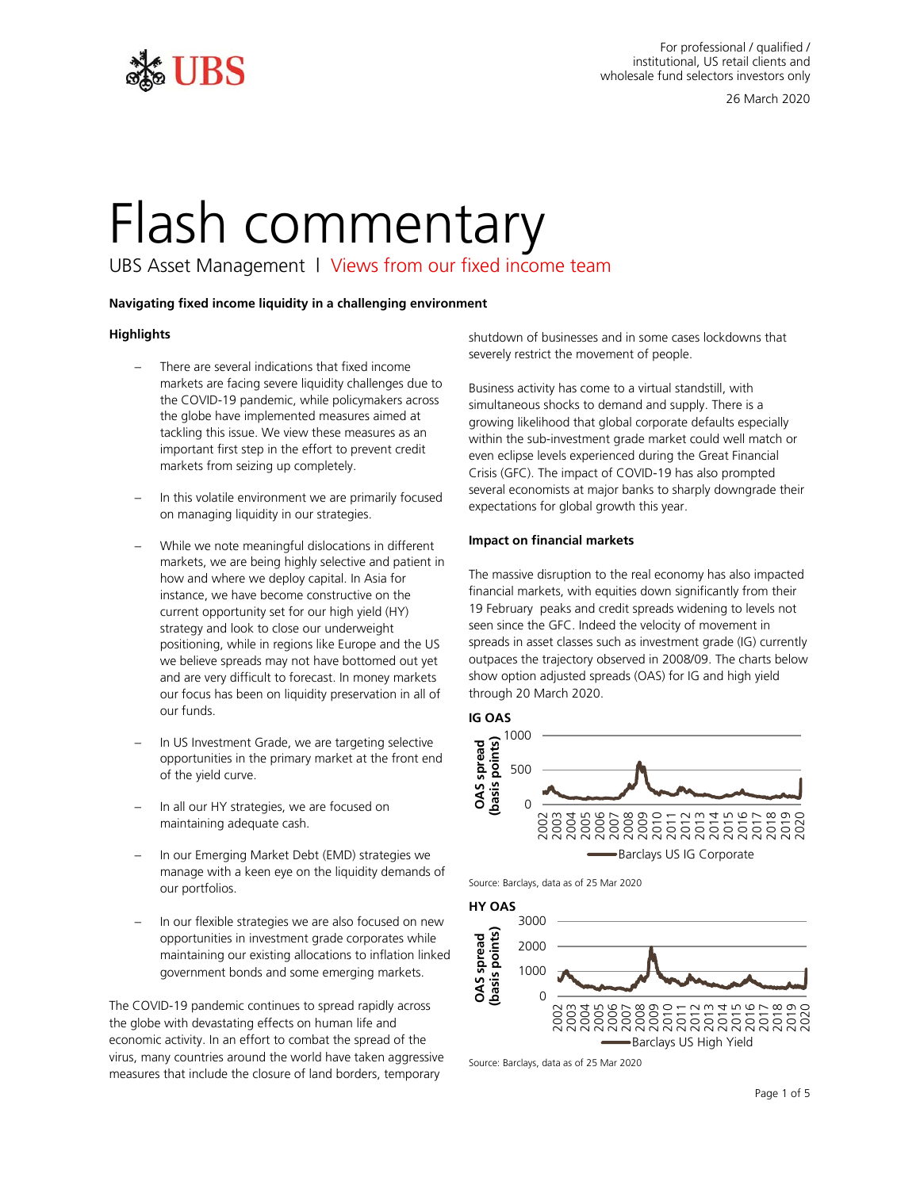

# Flash commentary

UBS Asset Management | Views from our fixed income team

# **Navigating fixed income liquidity in a challenging environment**

# **Highlights**

- the COVID-19 pandemic, while policymakers across tackling this issue. We view these measures as an There are several indications that fixed income markets are facing severe liquidity challenges due to the globe have implemented measures aimed at important first step in the effort to prevent credit markets from seizing up completely.
- on managing liquidity in our strategies. In this volatile environment we are primarily focused
- how and where we deploy capital. In Asia for strategy and look to close our underweight positioning, while in regions like Europe and the US we believe spreads may not have bottomed out yet and are very difficult to forecast. In money markets − While we note meaningful dislocations in different markets, we are being highly selective and patient in instance, we have become constructive on the current opportunity set for our high yield (HY) our focus has been on liquidity preservation in all of our funds.
- of the yield curve. In US Investment Grade, we are targeting selective opportunities in the primary market at the front end
- In all our HY strategies, we are focused on maintaining adequate cash.
- manage with a keen eye on the liquidity demands of Source: Barclays, data as of 25 Mar 2020 our portfolios.
- opportunities in investment grade corporates while government bonds and some emerging markets. In our flexible strategies we are also focused on new<br>opportunities in investment grade corporates while<br>maintaining our existing allocations to inflation linked<br>government bonds and some emerging markets.<br> $\frac{30000000000$ maintaining our existing allocations to inflation linked

 The COVID-19 pandemic continues to spread rapidly across economic activity. In an effort to combat the spread of the Barclays US High Yield virus, many countries around the world have taken aggressive Source: Barclays, data as of 25 Mar 2020 measures that include the closure of land borders, temporary the globe with devastating effects on human life and

shutdown of businesses and in some cases lockdowns that severely restrict the movement of people.

 simultaneous shocks to demand and supply. There is a growing likelihood that global corporate defaults especially expectations for global growth this year. Business activity has come to a virtual standstill, with within the sub-investment grade market could well match or even eclipse levels experienced during the Great Financial Crisis (GFC). The impact of COVID-19 has also prompted several economists at major banks to sharply downgrade their

# **Impact on financial markets**

 spreads in asset classes such as investment grade (IG) currently outpaces the trajectory observed in 2008/09. The charts below The massive disruption to the real economy has also impacted financial markets, with equities down significantly from their 19 February peaks and credit spreads widening to levels not seen since the GFC. Indeed the velocity of movement in show option adjusted spreads (OAS) for IG and high yield through 20 March 2020.



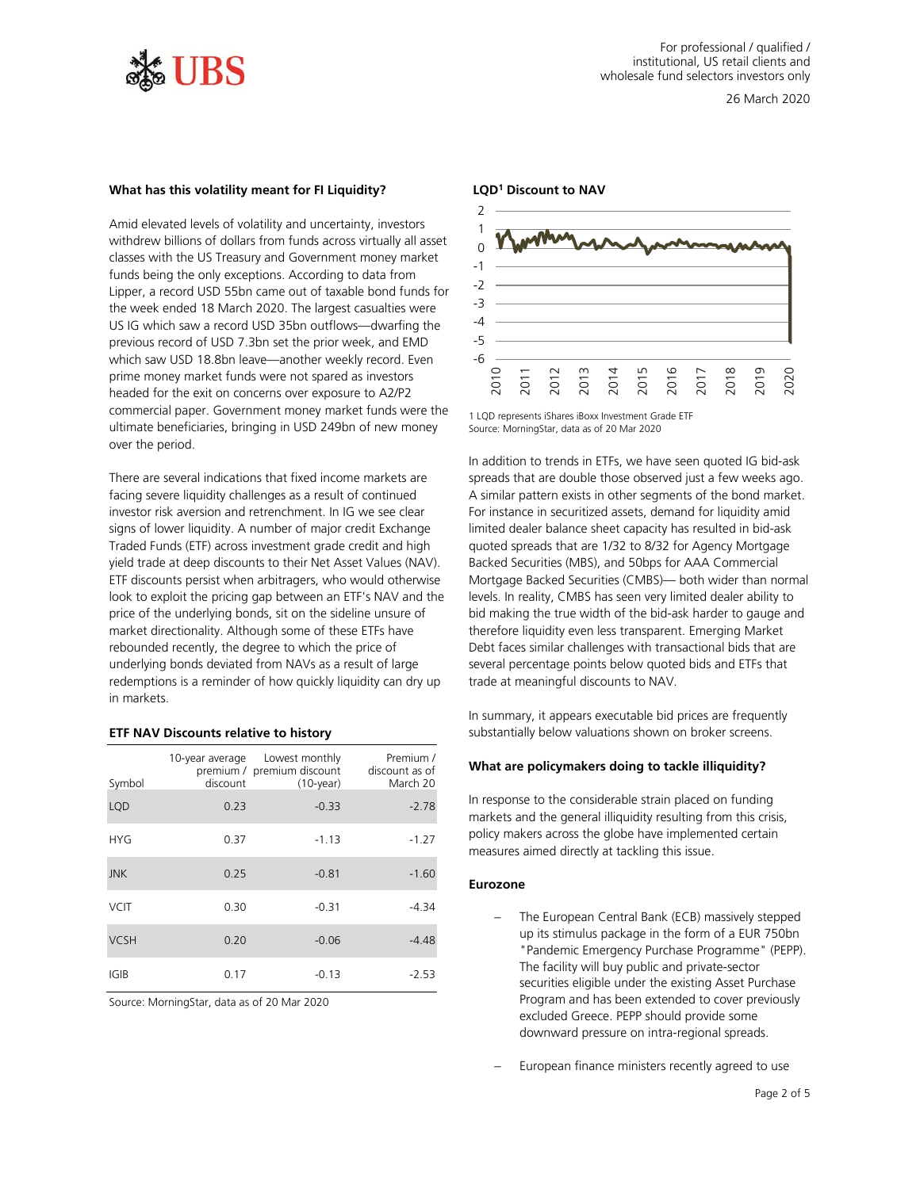

#### **What has this volatility meant for FI Liquidity?**

 classes with the US Treasury and Government money market prime money market funds were not spared as investors headed for the exit on concerns over exposure to A2/P2 over the period. Amid elevated levels of volatility and uncertainty, investors withdrew billions of dollars from funds across virtually all asset funds being the only exceptions. According to data from Lipper, a record USD 55bn came out of taxable bond funds for the week ended 18 March 2020. The largest casualties were US IG which saw a record USD 35bn outflows—dwarfing the previous record of USD 7.3bn set the prior week, and EMD which saw USD 18.8bn leave—another weekly record. Even commercial paper. Government money market funds were the ultimate beneficiaries, bringing in USD 249bn of new money

 facing severe liquidity challenges as a result of continued investor risk aversion and retrenchment. In IG we see clear Traded Funds (ETF) across investment grade credit and high price of the underlying bonds, sit on the sideline unsure of market directionality. Although some of these ETFs have underlying bonds deviated from NAVs as a result of large in markets. There are several indications that fixed income markets are signs of lower liquidity. A number of major credit Exchange yield trade at deep discounts to their Net Asset Values (NAV). ETF discounts persist when arbitragers, who would otherwise look to exploit the pricing gap between an ETF's NAV and the rebounded recently, the degree to which the price of redemptions is a reminder of how quickly liquidity can dry up

#### **ETF NAV Discounts relative to history**

|             | 10-year average | Lowest monthly<br>premium / premium discount | Premium /<br>discount as of |
|-------------|-----------------|----------------------------------------------|-----------------------------|
| Symbol      | discount        | $(10$ -year)                                 | March 20                    |
| <b>LQD</b>  | 0.23            | $-0.33$                                      | $-2.78$                     |
| <b>HYG</b>  | 0.37            | $-1.13$                                      | $-1.27$                     |
| <b>JNK</b>  | 0.25            | $-0.81$                                      | $-1.60$                     |
| <b>VCIT</b> | 0.30            | $-0.31$                                      | $-4.34$                     |
| <b>VCSH</b> | 0.20            | $-0.06$                                      | $-4.48$                     |
| IGIB        | 0.17            | $-0.13$                                      | $-2.53$                     |

Source: MorningStar, data as of 20 Mar 2020



<sup>1</sup> LQD represents iShares iBoxx Investment Grade ETF Source: MorningStar, data as of 20 Mar 2020

 In addition to trends in ETFs, we have seen quoted IG bid-ask A similar pattern exists in other segments of the bond market. limited dealer balance sheet capacity has resulted in bid-ask Backed Securities (MBS), and 50bps for AAA Commercial Mortgage Backed Securities (CMBS)— both wider than normal levels. In reality, CMBS has seen very limited dealer ability to bid making the true width of the bid-ask harder to gauge and therefore liquidity even less transparent. Emerging Market several percentage points below quoted bids and ETFs that trade at meaningful discounts to NAV. spreads that are double those observed just a few weeks ago. For instance in securitized assets, demand for liquidity amid quoted spreads that are 1/32 to 8/32 for Agency Mortgage Debt faces similar challenges with transactional bids that are  $\frac{1}{62}$   $\frac{1}{62}$   $\frac{1}{62}$   $\frac{1}{62}$   $\frac{1}{62}$   $\frac{1}{62}$   $\frac{1}{62}$   $\frac{1}{62}$   $\frac{1}{62}$   $\frac{1}{62}$   $\frac{1}{62}$   $\frac{1}{62}$   $\frac{1}{62}$   $\frac{1}{62}$   $\frac{1}{62}$   $\frac{1}{62}$   $\frac{1}{62}$   $\frac{1}{62}$   $\frac{1}{62}$   $\frac{1}{62}$ 

 substantially below valuations shown on broker screens. In summary, it appears executable bid prices are frequently

#### **What are policymakers doing to tackle illiquidity?**

 In response to the considerable strain placed on funding measures aimed directly at tackling this issue. markets and the general illiquidity resulting from this crisis, policy makers across the globe have implemented certain

## **Eurozone**

- − The European Central Bank (ECB) massively stepped up its stimulus package in the form of a EUR 750bn "Pandemic Emergency Purchase Programme" (PEPP). The facility will buy public and private-sector securities eligible under the existing Asset Purchase Program and has been extended to cover previously excluded Greece. PEPP should provide some downward pressure on intra-regional spreads.
- European finance ministers recently agreed to use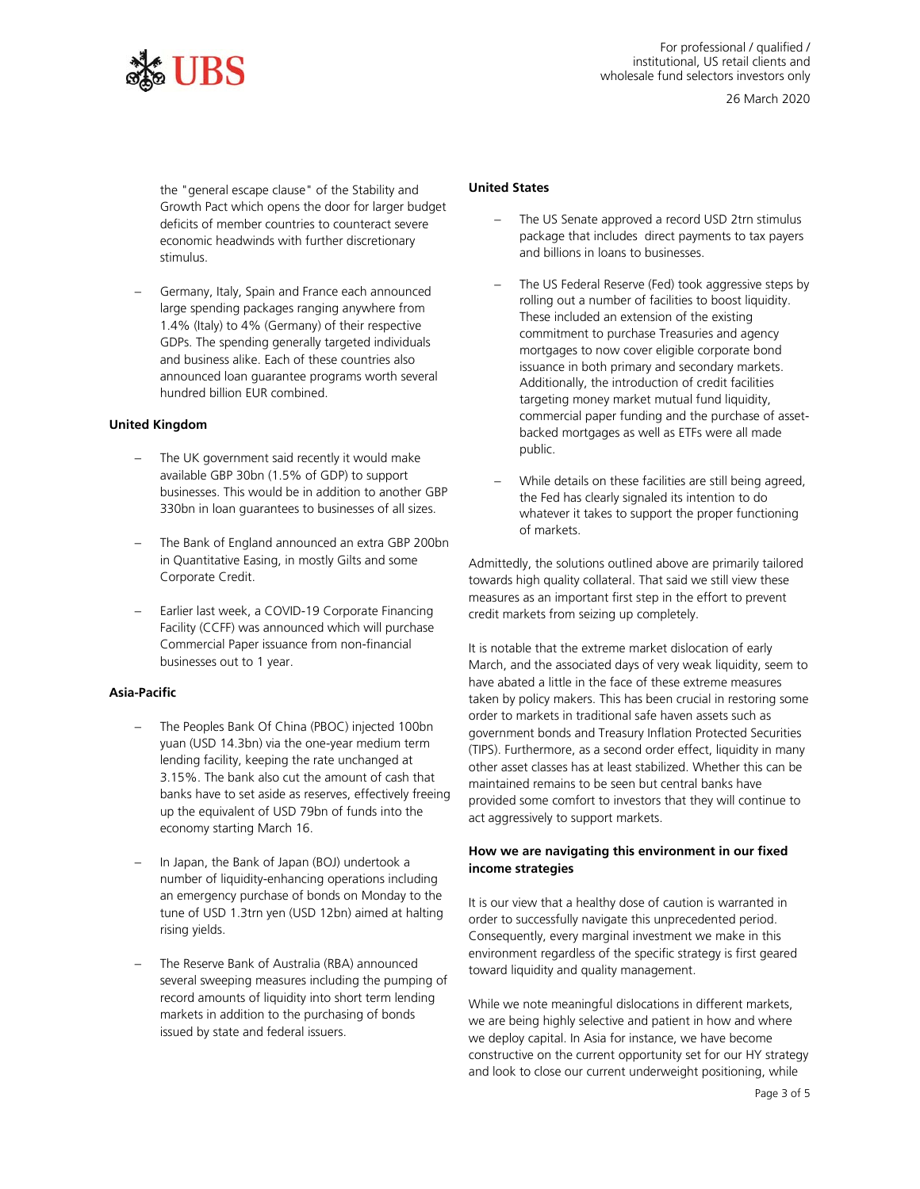

 Growth Pact which opens the door for larger budget economic headwinds with further discretionary the "general escape clause" of the Stability and deficits of member countries to counteract severe stimulus.

 and business alike. Each of these countries also − Germany, Italy, Spain and France each announced large spending packages ranging anywhere from 1.4% (Italy) to 4% (Germany) of their respective GDPs. The spending generally targeted individuals announced loan guarantee programs worth several hundred billion EUR combined.

#### **United Kingdom**

- − The UK government said recently it would make 330bn in loan guarantees to businesses of all sizes. available GBP 30bn (1.5% of GDP) to support businesses. This would be in addition to another GBP
- in Quantitative Easing, in mostly Gilts and some The Bank of England announced an extra GBP 200bn Corporate Credit.
- Earlier last week, a COVID-19 Corporate Financing Facility (CCFF) was announced which will purchase Commercial Paper issuance from non-financial businesses out to 1 year.

### **Asia-Pacific**

- − The Peoples Bank Of China (PBOC) injected 100bn yuan (USD 14.3bn) via the one-year medium term lending facility, keeping the rate unchanged at 3.15%. The bank also cut the amount of cash that banks have to set aside as reserves, effectively freeing up the equivalent of USD 79bn of funds into the economy starting March 16.
- − In Japan, the Bank of Japan (BOJ) undertook a an emergency purchase of bonds on Monday to the number of liquidity-enhancing operations including tune of USD 1.3trn yen (USD 12bn) aimed at halting rising yields.
- several sweeping measures including the pumping of record amounts of liquidity into short term lending − The Reserve Bank of Australia (RBA) announced markets in addition to the purchasing of bonds issued by state and federal issuers.

# **United States**

- The US Senate approved a record USD 2trn stimulus package that includes direct payments to tax payers and billions in loans to businesses.
- − The US Federal Reserve (Fed) took aggressive steps by These included an extension of the existing public. rolling out a number of facilities to boost liquidity. commitment to purchase Treasuries and agency mortgages to now cover eligible corporate bond issuance in both primary and secondary markets. Additionally, the introduction of credit facilities targeting money market mutual fund liquidity, commercial paper funding and the purchase of assetbacked mortgages as well as ETFs were all made
- the Fed has clearly signaled its intention to do − While details on these facilities are still being agreed, whatever it takes to support the proper functioning of markets.

 Admittedly, the solutions outlined above are primarily tailored towards high quality collateral. That said we still view these measures as an important first step in the effort to prevent credit markets from seizing up completely.

 It is notable that the extreme market dislocation of early March, and the associated days of very weak liquidity, seem to taken by policy makers. This has been crucial in restoring some (TIPS). Furthermore, as a second order effect, liquidity in many maintained remains to be seen but central banks have provided some comfort to investors that they will continue to have abated a little in the face of these extreme measures order to markets in traditional safe haven assets such as government bonds and Treasury Inflation Protected Securities other asset classes has at least stabilized. Whether this can be act aggressively to support markets.

# **How we are navigating this environment in our fixed income strategies**

 It is our view that a healthy dose of caution is warranted in Consequently, every marginal investment we make in this order to successfully navigate this unprecedented period. environment regardless of the specific strategy is first geared toward liquidity and quality management.

 we deploy capital. In Asia for instance, we have become While we note meaningful dislocations in different markets, we are being highly selective and patient in how and where constructive on the current opportunity set for our HY strategy and look to close our current underweight positioning, while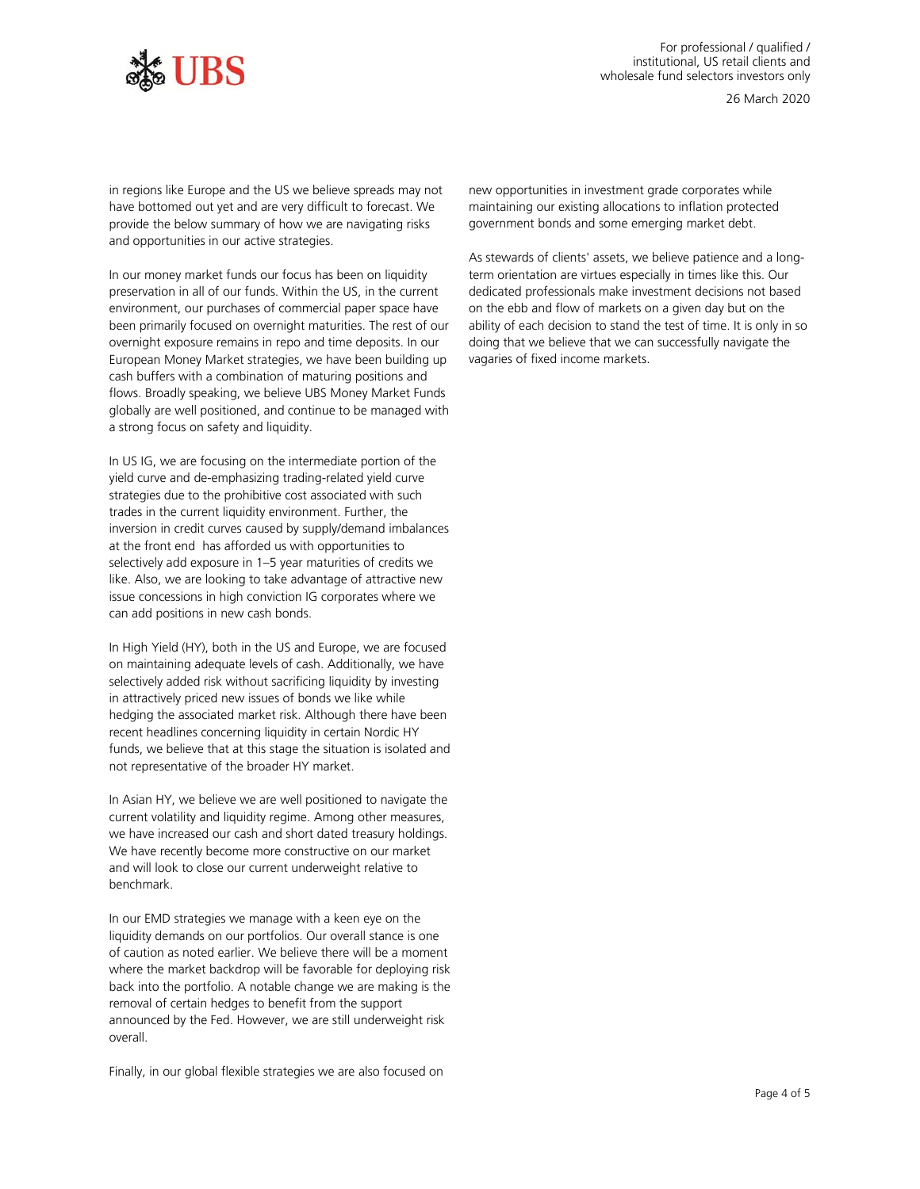

 in regions like Europe and the US we believe spreads may not provide the below summary of how we are navigating risks have bottomed out yet and are very difficult to forecast. We and opportunities in our active strategies.

 preservation in all of our funds. Within the US, in the current environment, our purchases of commercial paper space have globally are well positioned, and continue to be managed with In our money market funds our focus has been on liquidity been primarily focused on overnight maturities. The rest of our overnight exposure remains in repo and time deposits. In our European Money Market strategies, we have been building up cash buffers with a combination of maturing positions and flows. Broadly speaking, we believe UBS Money Market Funds a strong focus on safety and liquidity.

 yield curve and de-emphasizing trading-related yield curve at the front end has afforded us with opportunities to like. Also, we are looking to take advantage of attractive new issue concessions in high conviction IG corporates where we can add positions in new cash bonds. In US IG, we are focusing on the intermediate portion of the strategies due to the prohibitive cost associated with such trades in the current liquidity environment. Further, the inversion in credit curves caused by supply/demand imbalances selectively add exposure in 1–5 year maturities of credits we

 In High Yield (HY), both in the US and Europe, we are focused on maintaining adequate levels of cash. Additionally, we have recent headlines concerning liquidity in certain Nordic HY not representative of the broader HY market. selectively added risk without sacrificing liquidity by investing in attractively priced new issues of bonds we like while hedging the associated market risk. Although there have been funds, we believe that at this stage the situation is isolated and

 we have increased our cash and short dated treasury holdings. We have recently become more constructive on our market benchmark. In Asian HY, we believe we are well positioned to navigate the current volatility and liquidity regime. Among other measures, and will look to close our current underweight relative to

benchmark.<br>In our EMD strategies we manage with a keen eye on the liquidity demands on our portfolios. Our overall stance is one of caution as noted earlier. We believe there will be a moment where the market backdrop will be favorable for deploying risk announced by the Fed. However, we are still underweight risk back into the portfolio. A notable change we are making is the removal of certain hedges to benefit from the support overall.

Finally, in our global flexible strategies we are also focused on

 maintaining our existing allocations to inflation protected new opportunities in investment grade corporates while government bonds and some emerging market debt.

 As stewards of clients' assets, we believe patience and a long- term orientation are virtues especially in times like this. Our on the ebb and flow of markets on a given day but on the ability of each decision to stand the test of time. It is only in so doing that we believe that we can successfully navigate the dedicated professionals make investment decisions not based vagaries of fixed income markets.